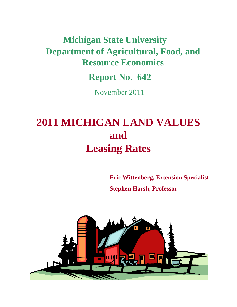# **Department of Agricultural, Food, and Resource Economics Michigan State University**

**Report No. 642**

November 2011

# **2011 MICHIGAN LAND VALUES and Leasing Rates**

**Eric Wittenberg, Extension Specialist Stephen Harsh, Professor** 

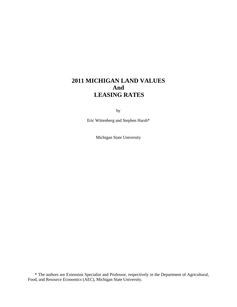# **2011 MICHIGAN LAND VALUES And LEASING RATES**

by

Eric Wittenberg and Stephen Harsh\*

Michigan State University

\* The authors are Extension Specialist and Professor, respectively in the Department of Agricultural, Food, and Resource Economics (AEC), Michigan State University.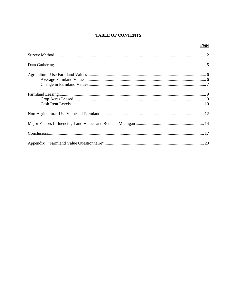# **TABLE OF CONTENTS**

# Page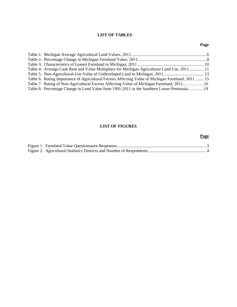## **LIST OF TABLES**

### **Page**

| Table 4. Average Cash Rent and Value Multipliers for Michigan Agricultural Land Use, 2011 11      |  |
|---------------------------------------------------------------------------------------------------|--|
|                                                                                                   |  |
| Table 6. Rating Importance of Agricultural Factors Affecting Value of Michigan Farmland, 2011  15 |  |
| Table 7. Rating of Non-Agricultural Factors Affecting Value of Michigan Farmland, 201116          |  |
| Table 8. Percentage Change in Land Value from 1991-2011 in the Southern Lower Peninsula19         |  |

### **LIST OF FIGURES**

# Figure 1. Farmland Value Questionnaire Responses ................................................................................... 3 Figure 2. Agricultural Statistics Districts and Number of Respondents ...................................................... 4

#### **Page**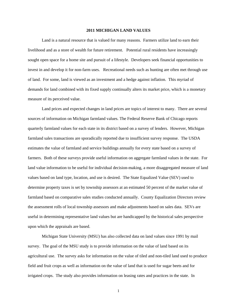#### **2011 MICHIGAN LAND VALUES**

Land is a natural resource that is valued for many reasons. Farmers utilize land to earn their livelihood and as a store of wealth for future retirement. Potential rural residents have increasingly sought open space for a home site and pursuit of a lifestyle. Developers seek financial opportunities to invest in and develop it for non-farm uses. Recreational needs such as hunting are often met through use of land. For some, land is viewed as an investment and a hedge against inflation. This myriad of demands for land combined with its fixed supply continually alters its market price, which is a monetary measure of its perceived value.

Land prices and expected changes in land prices are topics of interest to many. There are several sources of information on Michigan farmland values. The Federal Reserve Bank of Chicago reports quarterly farmland values for each state in its district based on a survey of lenders. However, Michigan farmland sales transactions are sporadically reported due to insufficient survey response. The USDA estimates the value of farmland and service buildings annually for every state based on a survey of farmers. Both of these surveys provide useful information on aggregate farmland values in the state. For land value information to be useful for individual decision-making, a more disaggregated measure of land values based on land type, location, and use is desired. The State Equalized Value (SEV) used to determine property taxes is set by township assessors at an estimated 50 percent of the market value of farmland based on comparative sales studies conducted annually. County Equalization Directors review the assessment rolls of local township assessors and make adjustments based on sales data. SEVs are useful in determining representative land values but are handicapped by the historical sales perspective upon which the appraisals are based.

Michigan State University (MSU) has also collected data on land values since 1991 by mail survey. The goal of the MSU study is to provide information on the value of land based on its agricultural use. The survey asks for information on the value of tiled and non-tiled land used to produce field and fruit crops as well as information on the value of land that is used for sugar beets and for irrigated crops. The study also provides information on leasing rates and practices in the state. In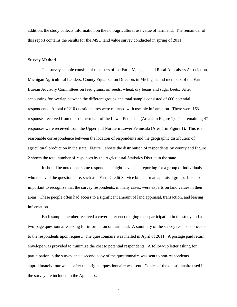addition, the study collects information on the non-agricultural use value of farmland. The remainder of this report contains the results for the MSU land value survey conducted in spring of 2011.

#### **Survey Method**

The survey sample consists of members of the Farm Managers and Rural Appraisers Association, Michigan Agricultural Lenders, County Equalization Directors in Michigan, and members of the Farm Bureau Advisory Committees on feed grains, oil seeds, wheat, dry beans and sugar beets. After accounting for overlap between the different groups, the total sample consisted of 600 potential respondents. A total of 210 questionnaires were returned with useable information. There were 163 responses received from the southern half of the Lower Peninsula (Area 2 in Figure 1). The remaining 47 responses were received from the Upper and Northern Lower Peninsula (Area 1 in Figure 1). This is a reasonable correspondence between the location of respondents and the geographic distribution of agricultural production in the state. Figure 1 shows the distribution of respondents by county and Figure 2 shows the total number of responses by the Agricultural Statistics District in the state.

It should be noted that some respondents might have been reporting for a group of individuals who received the questionnaire, such as a Farm Credit Service branch or an appraisal group. It is also important to recognize that the survey respondents, in many cases, were experts on land values in their areas. These people often had access to a significant amount of land appraisal, transaction, and leasing information.

Each sample member received a cover letter encouraging their participation in the study and a two-page questionnaire asking for information on farmland. A summary of the survey results is provided to the respondents upon request. The questionnaire was mailed in April of 2011. A postage paid return envelope was provided to minimize the cost to potential respondents. A follow-up letter asking for participation in the survey and a second copy of the questionnaire was sent to non-respondents approximately four weeks after the original questionnaire was sent. Copies of the questionnaire used in the survey are included in the Appendix.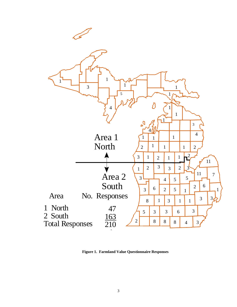

**Figure 1. Farmland Value Questionnaire Responses**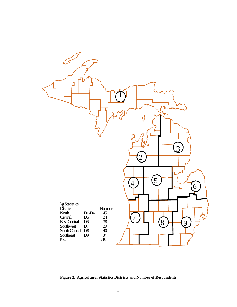

**Figure 2**. **Agricultural Statistics Districts and Number of Respondents**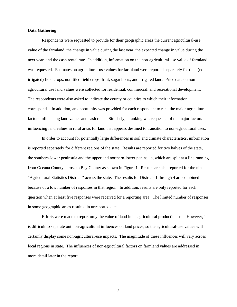#### **Data Gathering**

Respondents were requested to provide for their geographic areas the current agricultural-use value of the farmland, the change in value during the last year, the expected change in value during the next year, and the cash rental rate. In addition, information on the non-agricultural-use value of farmland was requested. Estimates on agricultural-use values for farmland were reported separately for tiled (nonirrigated) field crops, non-tiled field crops, fruit, sugar beets, and irrigated land. Price data on nonagricultural use land values were collected for residential, commercial, and recreational development. The respondents were also asked to indicate the county or counties to which their information corresponds. In addition, an opportunity was provided for each respondent to rank the major agricultural factors influencing land values and cash rents. Similarly, a ranking was requested of the major factors influencing land values in rural areas for land that appears destined to transition to non-agricultural uses.

In order to account for potentially large differences in soil and climate characteristics, information is reported separately for different regions of the state. Results are reported for two halves of the state, the southern-lower peninsula and the upper and northern-lower peninsula, which are split at a line running from Oceana County across to Bay County as shown in Figure 1. Results are also reported for the nine "Agricultural Statistics Districts" across the state. The results for Districts 1 through 4 are combined because of a low number of responses in that region. In addition, results are only reported for each question when at least five responses were received for a reporting area. The limited number of responses in some geographic areas resulted in unreported data.

Efforts were made to report only the value of land in its agricultural production use. However, it is difficult to separate out non-agricultural influences on land prices, so the agricultural-use values will certainly display some non-agricultural-use impacts. The magnitude of these influences will vary across local regions in state. The influences of non-agricultural factors on farmland values are addressed in more detail later in the report.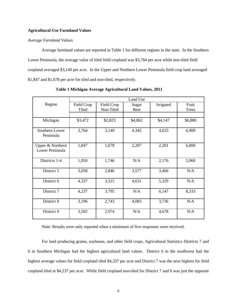#### **Agricultural-Use Farmland Values**

#### *Average Farmland Values*

Average farmland values are reported in Table 1 for different regions in the state. In the Southern Lower Peninsula, the average value of tiled field cropland was \$3,764 per acre while non-tiled field cropland averaged \$3,140 per acre. In the Upper and Northern Lower Peninsula field crop land averaged \$1,847 and \$1,678 per acre for tiled and non-tiled, respectively.

|                                     | Land Use            |                         |                      |           |                       |  |  |
|-------------------------------------|---------------------|-------------------------|----------------------|-----------|-----------------------|--|--|
| Region                              | Field Crop<br>Tiled | Field Crop<br>Non-Tiled | Sugar<br><b>Beet</b> | Irrigated | Fruit<br><b>Trees</b> |  |  |
|                                     |                     |                         |                      |           |                       |  |  |
| Michigan                            | \$3,472             | \$2,823                 | \$4,062              | \$4,147   | \$6,880               |  |  |
| Southern Lower<br>Peninsula         | 3,764               | 3,140                   | 4,345                | 4,625     | 6,909                 |  |  |
| Upper & Northern<br>Lower Peninsula | 1,847               | 1,678                   | 2,207                | 2,201     | 6,800                 |  |  |
| Districts 1-4                       | 1,950               | 1,746                   | N/A                  | 2,176     | 5,960                 |  |  |
| District 5                          | 3,058               | 2,846                   | 3,577                | 3,466     | N/A                   |  |  |
| District 6                          | 4,337               | 3,315                   | 4,631                | 5,329     | N/A                   |  |  |
| District 7                          | 4,237               | 3,795                   | N/A                  | 6,147     | 8,333                 |  |  |
| District 8                          | 3,196               | 2,743                   | 4,083                | 3,736     | N/A                   |  |  |
| District 9                          | 3,592               | 2,974                   | N/A                  | 4,678     | N/A                   |  |  |

**Table 1 Michigan Average Agricultural Land Values, 2011** 

Note: Results were only reported when a minimum of five responses were received.

For land producing grains, soybeans, and other field crops, Agricultural Statistics Districts 7 and 6 in Southern Michigan had the highest agricultural land values. District 6 in the southwest had the highest average values for field cropland tiled \$4,337 per acre and District 7 was the next highest for field cropland tiled at \$4,237 per acre. While field cropland non-tiled for District 7 and 6 was just the opposite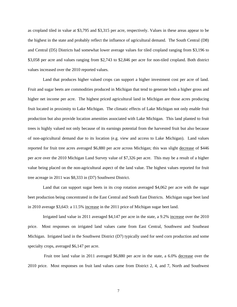as cropland tiled in value at \$3,795 and \$3,315 per acre, respectively. Values in these areas appear to be the highest in the state and probably reflect the influence of agricultural demand. The South Central (D8) and Central (D5) Districts had somewhat lower average values for tiled cropland ranging from \$3,196 to \$3,058 per acre and values ranging from \$2,743 to \$2,846 per acre for non-tiled cropland. Both district values increased over the 2010 reported values.

 Land that produces higher valued crops can support a higher investment cost per acre of land. Fruit and sugar beets are commodities produced in Michigan that tend to generate both a higher gross and higher net income per acre. The highest priced agricultural land in Michigan are those acres producing fruit located in proximity to Lake Michigan. The climatic effects of Lake Michigan not only enable fruit production but also provide location amenities associated with Lake Michigan. This land planted to fruit trees is highly valued not only because of its earnings potential from the harvested fruit but also because of non-agricultural demand due to its location (e.g. view and access to Lake Michigan). Land values reported for fruit tree acres averaged \$6,880 per acre across Michigan; this was slight decrease of \$446 per acre over the 2010 Michigan Land Survey value of \$7,326 per acre. This may be a result of a higher value being placed on the non-agricultural aspect of the land value. The highest values reported for fruit tree acreage in 2011 was \$8,333 in (D7) Southwest District.

 Land that can support sugar beets in its crop rotation averaged \$4,062 per acre with the sugar beet production being concentrated in the East Central and South East Districts. Michigan sugar beet land in 2010 average \$3,643: a 11.5% increase in the 2011 price of Michigan sugar beet land.

Irrigated land value in 2011 averaged \$4,147 per acre in the state, a 9.2% increase over the 2010 price. Most responses on irrigated land values came from East Central, Southwest and Southeast Michigan. Irrigated land in the Southwest District (D7) typically used for seed corn production and some specialty crops, averaged \$6,147 per acre.

 Fruit tree land value in 2011 averaged \$6,880 per acre in the state, a 6.0% decrease over the 2010 price. Most responses on fruit land values came from District 2, 4, and 7, North and Southwest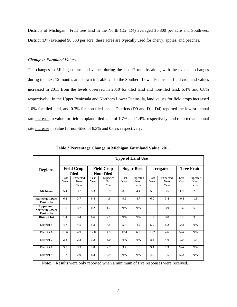Districts of Michigan. Fruit tree land in the North (D2, D4) averaged \$6,800 per acre and Southwest District (D7) averaged \$8,333 per acre, these acres are typically used for cherry, apples, and peaches.

#### *Change in Farmland Values*

The changes in Michigan farmland values during the last 12 months along with the expected changes during the next 12 months are shown in Table 2. In the Southern Lower Peninsula, field cropland values increased in 2011 from the levels observed in 2010 for tiled land and non-tiled land, 6.4% and 6.8% respectively. In the Upper Peninsula and Northern Lower Peninsula, land values for field crops increased 1.0% for tiled land, and 0.3% for non-tiled land. Districts (D9 and D1- D4) reported the lowest annual rate increase in value for field cropland tiled land of 1.7% and 1.4%, respectively, and reported an annual rate increase in value for non-tiled of 8.3% and 0.6%, respectively.

|                                                        | <b>Type of Land Use</b> |                                   |              |                                       |              |                                 |              |                          |              |                                 |
|--------------------------------------------------------|-------------------------|-----------------------------------|--------------|---------------------------------------|--------------|---------------------------------|--------------|--------------------------|--------------|---------------------------------|
| <b>Regions</b>                                         |                         | <b>Field Crop</b><br><b>Tiled</b> |              | <b>Field Crop</b><br><b>Non-Tiled</b> |              | <b>Sugar Beet</b>               |              | <b>Irrigated</b>         |              | <b>Tree Fruit</b>               |
|                                                        | Last<br>Year            | Expected<br><b>Next</b><br>Year   | Last<br>Year | Expected<br><b>Next</b><br>Year       | Last<br>Year | Expected<br><b>Next</b><br>Year | Last<br>Year | Expected<br>Next<br>Year | Last<br>Year | Expected<br><b>Next</b><br>Year |
| Michigan                                               | 5.4                     | 3.7                               | 5.3          | 3.9                                   | 8.5          | 4.4                             | 5.0          | 3.5                      | 1.9          | 2.8                             |
| <b>Southern Lower</b><br>Peninsula                     | 6.4                     | 3.7                               | 6.8          | 4.6                                   | 9.9          | 4.7                             | 6.0          | 3.4                      | $-0.8$       | 1.8                             |
| <b>Upper and</b><br><b>Northern Lower</b><br>Peninsula | 1.0                     | 3.7                               | 0.2          | 1.7                                   | N/A          | N/A                             | 1.0          | 3.9                      | 9.4          | 5.6                             |
| District 1-4                                           | 1.4                     | 3.4                               | 0.6          | 2.1                                   | N/A          | N/A                             | 1.7          | 3.8                      | 5.2          | 3.8                             |
| District 5                                             | 4.7                     | 4.5                               | 5.3          | 4.5                                   | 5.4          | 4.2                             | 5.0          | 5.2                      | N/A          | N/A                             |
| District 6                                             | 13.6                    | 4.9                               | 12.0         | 4.9                                   | 12.4         | 6.0                             | 13.2         | 4.6                      | N/A          | N/A                             |
| District 7                                             | 2.8                     | 2.2                               | 3.2          | 3.0                                   | N/A          | N/A                             | 8.5          | 4.6                      | 0.0          | 1.4                             |
| District 8                                             | 3.5                     | 3.3                               | 2.8          | 2.7                                   | 3.7          | 1.0                             | 3.4          | 2.3                      | N/A          | N/A                             |
| District 9                                             | 1.7                     | 2.9                               | 8.3          | 7.9                                   | N/A          | N/A                             | 4.0          | 1.5                      | N/A          | N/A                             |

**Table 2 Percentage Change in Michigan Farmland Value, 2011** 

Note: Results were only reported when a minimum of five responses were received.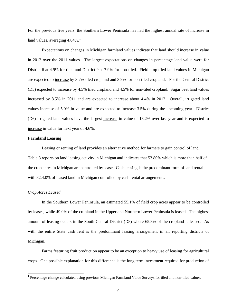For the previous five years, the Southern Lower Peninsula has had the highest annual rate of increase in land values, averaging  $4.84\%$ .<sup>[1](#page-12-0)</sup>

Expectations on changes in Michigan farmland values indicate that land should increase in value in 2012 over the 2011 values. The largest expectations on changes in percentage land value were for District 6 at 4.9% for tiled and District 9 at 7.9% for non-tiled. Field crop tiled land values in Michigan are expected to increase by 3.7% tiled cropland and 3.9% for non-tiled cropland. For the Central District (D5) expected to increase by 4.5% tiled cropland and 4.5% for non-tiled cropland. Sugar beet land values increased by 8.5% in 2011 and are expected to increase about 4.4% in 2012. Overall, irrigated land values increase of 5.0% in value and are expected to increase 3.5% during the upcoming year. District (D6) irrigated land values have the largest increase in value of 13.2% over last year and is expected to increase in value for next year of 4.6%.

#### **Farmland Leasing**

Leasing or renting of land provides an alternative method for farmers to gain control of land. Table 3 reports on land leasing activity in Michigan and indicates that 53.80% which is more than half of the crop acres in Michigan are controlled by lease. Cash leasing is the predominant form of land rental with 82.4.0% of leased land in Michigan controlled by cash rental arrangements.

#### *Crop Acres Leased*

 $\overline{\phantom{a}}$ 

In the Southern Lower Peninsula, an estimated 55.1% of field crop acres appear to be controlled by leases, while 49.0% of the cropland in the Upper and Northern Lower Peninsula is leased. The highest amount of leasing occurs in the South Central District (D8) where 65.3% of the cropland is leased. As with the entire State cash rent is the predominant leasing arrangement in all reporting districts of Michigan.

Farms featuring fruit production appear to be an exception to heavy use of leasing for agricultural crops. One possible explanation for this difference is the long term investment required for production of

<span id="page-12-0"></span><sup>&</sup>lt;sup>1</sup> Percentage change calculated using previous Michigan Farmland Value Surveys for tiled and non-tiled values.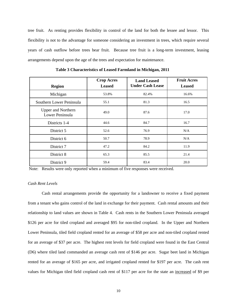tree fruit. As renting provides flexibility in control of the land for both the lessee and lessor. This flexibility is not to the advantage for someone considering an investment in trees, which require several years of cash outflow before trees bear fruit. Because tree fruit is a long-term investment, leasing arrangements depend upon the age of the trees and expectation for maintenance.

| <b>Region</b>                                | <b>Crop Acres</b><br><b>Leased</b> | <b>Land Leased</b><br><b>Under Cash Lease</b> | <b>Fruit Acres</b><br><b>Leased</b> |
|----------------------------------------------|------------------------------------|-----------------------------------------------|-------------------------------------|
| Michigan                                     | 53.8%                              | 82.4%                                         | 16.6%                               |
| Southern Lower Peninsula                     | 55.1                               | 81.3                                          | 16.5                                |
| <b>Upper and Northern</b><br>Lower Peninsula | 49.0                               | 87.6                                          | 17.0                                |
| Districts 1-4                                | 44.6                               | 84.7                                          | 16.7                                |
| District 5                                   | 52.6                               | 76.9                                          | N/A                                 |
| District 6                                   | 50.7                               | 78.9                                          | N/A                                 |
| District 7                                   | 47.2                               | 84.2                                          | 11.9                                |
| District 8                                   | 65.3                               | 85.5                                          | 21.4                                |
| District 9                                   | 59.4                               | 83.4                                          | 20.0                                |

**Table 3 Characteristics of Leased Farmland in Michigan, 2011**

Note: Results were only reported when a minimum of five responses were received.

#### *Cash Rent Levels*

Cash rental arrangements provide the opportunity for a landowner to receive a fixed payment from a tenant who gains control of the land in exchange for their payment. Cash rental amounts and their relationship to land values are shown in Table 4. Cash rents in the Southern Lower Peninsula averaged \$126 per acre for tiled cropland and averaged \$95 for non-tiled cropland. In the Upper and Northern Lower Peninsula, tiled field cropland rented for an average of \$58 per acre and non-tiled cropland rented for an average of \$37 per acre. The highest rent levels for field cropland were found in the East Central (D6) where tiled land commanded an average cash rent of \$146 per acre. Sugar beet land in Michigan rented for an average of \$165 per acre, and irrigated cropland rented for \$197 per acre. The cash rent values for Michigan tiled field cropland cash rent of \$117 per acre for the state an increased of \$9 per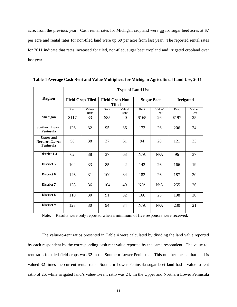acre, from the previous year. Cash rental rates for Michigan cropland were up for sugar beet acres at \$7 per acre and rental rates for non-tiled land were up \$9 per acre from last year. The reported rental rates for 2011 indicate that rates increased for tiled, non-tiled, sugar beet cropland and irrigated cropland over last year.

|                                                        | <b>Type of Land Use</b> |                         |      |                                        |       |                   |       |                  |
|--------------------------------------------------------|-------------------------|-------------------------|------|----------------------------------------|-------|-------------------|-------|------------------|
| <b>Region</b>                                          |                         | <b>Field Crop Tiled</b> |      | <b>Field Crop Non-</b><br><b>Tiled</b> |       | <b>Sugar Beet</b> |       | <b>Irrigated</b> |
|                                                        | Rent                    | Value/<br>Rent          | Rent | Value/<br>Rent                         | Rent  | Value/<br>Rent    | Rent  | Value/<br>Rent   |
| Michigan                                               | \$117                   | 33                      | \$85 | 40                                     | \$165 | 26                | \$197 | 25               |
| <b>Southern Lower</b><br>Peninsula                     | 126                     | 32                      | 95   | 36                                     | 173   | 26                | 206   | 24               |
| <b>Upper and</b><br><b>Northern Lower</b><br>Peninsula | 58                      | 38                      | 37   | 61                                     | 94    | 28                | 121   | 33               |
| District 1-4                                           | 62                      | 38                      | 37   | 63                                     | N/A   | N/A               | 96    | 37               |
| District 5                                             | 104                     | 33                      | 85   | 42                                     | 142   | 26                | 166   | 19               |
| District 6                                             | 146                     | 31                      | 100  | 34                                     | 182   | 26                | 187   | 30               |
| District 7                                             | 128                     | 36                      | 104  | 40                                     | N/A   | N/A               | 255   | 26               |
| <b>District 8</b>                                      | 110                     | 30                      | 91   | 32                                     | 166   | 25                | 198   | 20               |
| District 9                                             | 123                     | 30                      | 94   | 34                                     | N/A   | N/A               | 230   | 21               |

 **Table 4 Average Cash Rent and Value Multipliers for Michigan Agricultural Land Use, 2011** 

Note: Results were only reported when a minimum of five responses were received.

The value-to-rent ratios presented in Table 4 were calculated by dividing the land value reported by each respondent by the corresponding cash rent value reported by the same respondent. The value-torent ratio for tiled field crops was 32 in the Southern Lower Peninsula. This number means that land is valued 32 times the current rental rate. Southern Lower Peninsula sugar beet land had a value-to-rent ratio of 26, while irrigated land's value-to-rent ratio was 24. In the Upper and Northern Lower Peninsula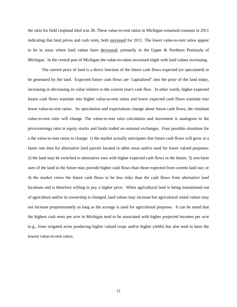the ratio for field cropland tiled was 38. These value-to-rent ratios in Michigan remained constant in 2011 indicating that land prices and cash rents, both increased for 2011. The lower value-to-rent ratios appear to be in areas where land values have decreased, primarily in the Upper & Northern Peninsula of Michigan. In the central part of Michigan the value-to-ratios increased slight with land values increasing.

The current price of land is a direct function of the future cash flows expected (or speculated) to be generated by the land. Expected future cash flows are "capitalized" into the price of the land today, increasing or decreasing its value relative to the current year's cash flow. In other words, higher expected future cash flows translate into higher value-to-rent ratios and lower expected cash flows translate into lower value-to-rent ratios. As speculation and expectations change about future cash flows, the resultant value-to-rent ratio will change. The value-to-rent ratio calculation and movement is analogous to the price/earnings ratio in equity stocks and funds traded on national exchanges. Four possible situations for a the value-to-rent ratios to change: 1) the market actually anticipates that future cash flows will grow at a faster rate than for alternative land parcels located in other areas and/or used for lower valued purposes; 2) the land may be switched to alternative uses with higher expected cash flows in the future; 3) non-farm uses of the land in the future may provide higher cash flows than those expected from current land use; or 4) the market views the future cash flows to be less risky than the cash flows from alternative land locations and is therefore willing to pay a higher price. When agricultural land is being transitioned out of agriculture and/or its ownership is changed, land values may increase but agricultural rental values may not increase proportionately as long as the acreage is used for agricultural purposes. It can be noted that the highest cash rents per acre in Michigan tend to be associated with higher projected incomes per acre (e.g., from irrigated acres producing higher valued crops and/or higher yields) but also tend to have the lowest value-to-rent ratios.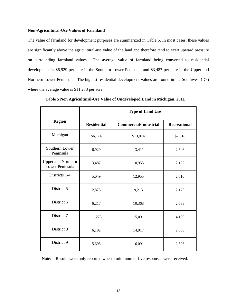#### **Non-Agricultural-Use Values of Farmland**

The value of farmland for development purposes are summarized in Table 5. In most cases, these values are significantly above the agricultural-use value of the land and therefore tend to exert upward pressure on surrounding farmland values. The average value of farmland being converted to residential development is \$6,929 per acre in the Southern Lower Peninsula and \$3,487 per acre in the Upper and Northern Lower Peninsula. The highest residential development values are found in the Southwest (D7) where the average value is \$11,273 per acre.

|                                              | <b>Type of Land Use</b> |                              |                     |  |  |  |  |
|----------------------------------------------|-------------------------|------------------------------|---------------------|--|--|--|--|
| <b>Region</b>                                | <b>Residential</b>      | <b>Commercial/Industrial</b> | <b>Recreational</b> |  |  |  |  |
| Michigan                                     | \$6,174                 | \$13,074                     | \$2,518             |  |  |  |  |
| Southern Lower<br>Peninsula                  | 6,929                   | 13,411                       | 2,646               |  |  |  |  |
| <b>Upper and Northern</b><br>Lower Peninsula | 3,487                   | 10,955                       | 2,122               |  |  |  |  |
| Districts 1-4                                | 5,049                   | 12,955                       | 2,010               |  |  |  |  |
| District 5                                   | 2,875                   | 9,213                        | 2,175               |  |  |  |  |
| District 6                                   | 6,217                   | 10,368                       | 2,633               |  |  |  |  |
| District 7                                   | 11,273                  | 15,091                       | 4,100               |  |  |  |  |
| District 8                                   | 6,102                   | 14,917                       | 2,380               |  |  |  |  |
| District 9                                   | 5,695                   | 16,091                       | 2,526               |  |  |  |  |

 **Table 5 Non Agricultural-Use Value of Undeveloped Land in Michigan, 2011**

Note: Results were only reported when a minimum of five responses were received.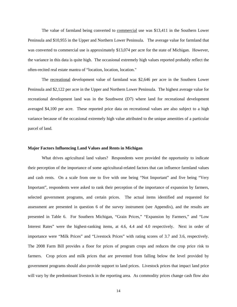The value of farmland being converted to commercial use was \$13,411 in the Southern Lower Peninsula and \$10,955 in the Upper and Northern Lower Peninsula. The average value for farmland that was converted to commercial use is approximately \$13,074 per acre for the state of Michigan. However, the variance in this data is quite high. The occasional extremely high values reported probably reflect the often-recited real estate mantra of "location, location, location."

The recreational development value of farmland was \$2,646 per acre in the Southern Lower Peninsula and \$2,122 per acre in the Upper and Northern Lower Peninsula. The highest average value for recreational development land was in the Southwest (D7) where land for recreational development averaged \$4,100 per acre. These reported price data on recreational values are also subject to a high variance because of the occasional extremely high value attributed to the unique amenities of a particular parcel of land.

#### **Major Factors Influencing Land Values and Rents in Michigan**

What drives agricultural land values? Respondents were provided the opportunity to indicate their perception of the importance of some agricultural-related factors that can influence farmland values and cash rents. On a scale from one to five with one being "Not Important" and five being "Very Important", respondents were asked to rank their perception of the importance of expansion by farmers, selected government programs, and certain prices. The actual items identified and requested for assessment are presented in question 6 of the survey instrument (see Appendix), and the results are presented in Table 6. For Southern Michigan, "Grain Prices," "Expansion by Farmers," and "Low Interest Rates" were the highest-ranking items, at 4.6, 4.4 and 4.0 respectively. Next in order of importance were "Milk Prices" and "Livestock Prices" with rating scores of 3.7 and 3.6, respectively. The 2008 Farm Bill provides a floor for prices of program crops and reduces the crop price risk to farmers. Crop prices and milk prices that are prevented from falling below the level provided by government programs should also provide support to land prices. Livestock prices that impact land price will vary by the predominant livestock in the reporting area. As commodity prices change cash flow also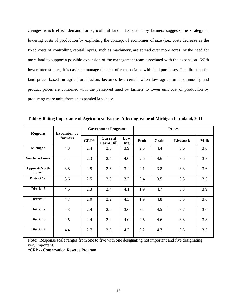changes which effect demand for agricultural land. Expansion by farmers suggests the strategy of lowering costs of production by exploiting the concept of economies of size (i.e., costs decrease as the fixed costs of controlling capital inputs, such as machinery, are spread over more acres) or the need for more land to support a possible expansion of the management team associated with the expansion. With lower interest rates, it is easier to manage the debt often associated with land purchases. The direction for land prices based on agricultural factors becomes less certain when low agricultural commodity and product prices are combined with the perceived need by farmers to lower unit cost of production by producing more units from an expanded land base.

|                                   |                                |        | <b>Government Programs</b>         |             | <b>Prices</b> |       |                  |             |
|-----------------------------------|--------------------------------|--------|------------------------------------|-------------|---------------|-------|------------------|-------------|
| <b>Regions</b>                    | <b>Expansion by</b><br>farmers | $CRP*$ | <b>Current</b><br><b>Farm Bill</b> | Low<br>Int. | Fruit         | Grain | <b>Livestock</b> | <b>Milk</b> |
| Michigan                          | 4.3                            | 2.4    | 2.5                                | 3.9         | 2.5           | 4.4   | 3.6              | 3.6         |
| <b>Southern Lower</b>             | 4.4                            | 2.3    | 2.4                                | 4.0         | 2.6           | 4.6   | 3.6              | 3.7         |
| <b>Upper &amp; North</b><br>Lower | 3.8                            | 2.5    | 2.6                                | 3.4         | 2.1           | 3.8   | 3.3              | 3.6         |
| District 1-4                      | 3.6                            | 2.5    | 2.6                                | 3.2         | 2.4           | 3.5   | 3.3              | 3.5         |
| District 5                        | 4.5                            | 2.3    | 2.4                                | 4.1         | 1.9           | 4.7   | 3.8              | 3.9         |
| District 6                        | 4.7                            | 2.0    | 2.2                                | 4.3         | 1.9           | 4.8   | 3.5              | 3.6         |
| District 7                        | 4.3                            | 2.4    | 2.6                                | 3.6         | 3.5           | 4.5   | 3.7              | 3.6         |
| District 8                        | 4.5                            | 2.4    | 2.4                                | 4.0         | 2.6           | 4.6   | 3.8              | 3.8         |
| District 9                        | 4.4                            | 2.7    | 2.6                                | 4.2         | 2.2           | 4.7   | 3.5              | 3.5         |

**Table 6 Rating Importance of Agricultural Factors Affecting Value of Michigan Farmland, 2011** 

Note: Response scale ranges from one to five with one designating not important and five designating very important.

\*CRP -- Conservation Reserve Program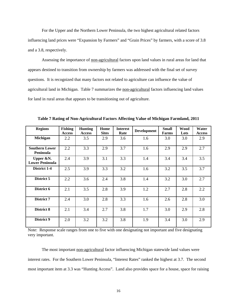For the Upper and the Northern Lower Peninsula, the two highest agricultural related factors influencing land prices were "Expansion by Farmers" and "Grain Prices" by farmers, with a score of 3.8 and a 3.8, respectively.

Assessing the importance of non-agricultural factors upon land values in rural areas for land that appears destined to transition from ownership by farmers was addressed with the final set of survey questions. It is recognized that many factors not related to agriculture can influence the value of agricultural land in Michigan. Table 7 summarizes the non-agricultural factors influencing land values for land in rural areas that appears to be transitioning out of agriculture.

| <b>Regions</b>                            | <b>Fishing</b><br><b>Access</b> | <b>Hunting</b><br><b>Access</b> | Home<br><b>Sites</b> | <b>Interest</b><br>Rate | <b>Development</b> | <b>Small</b><br>Farms | <b>Wood</b><br>Lots | Water<br><b>Access</b> |
|-------------------------------------------|---------------------------------|---------------------------------|----------------------|-------------------------|--------------------|-----------------------|---------------------|------------------------|
| Michigan                                  | 2.2                             | 3.5                             | 2.9                  | 3.6                     | 1.6                | 3.0                   | 3.0                 | 2.9                    |
| <b>Southern Lower</b><br><b>Peninsula</b> | 2.2                             | 3.3                             | 2.9                  | 3.7                     | 1.6                | 2.9                   | 2.9                 | 2.7                    |
| Upper &N.<br><b>Lower Peninsula</b>       | 2.4                             | 3.9                             | 3.1                  | 3.3                     | 1.4                | 3.4                   | 3.4                 | 3.5                    |
| District 1-4                              | 2.5                             | 3.9                             | 3.3                  | 3.2                     | 1.6                | 3.2                   | 3.5                 | 3.7                    |
| District 5                                | 2.2                             | 3.6                             | 2.4                  | 3.8                     | 1.4                | 3.2                   | 3.0                 | 2.7                    |
| District 6                                | 2.1                             | 3.5                             | 2.8                  | 3.9                     | 1.2                | 2.7                   | 2.8                 | 2.2                    |
| District 7                                | 2.4                             | 3.0                             | 2.8                  | 3.3                     | 1.6                | 2.6                   | 2.8                 | 3.0                    |
| District 8                                | 2.1                             | 3.4                             | 2.7                  | 3.8                     | 1.7                | 3.0                   | 2.9                 | 2.8                    |
| District 9                                | 2.0                             | 3.2                             | 3.2                  | 3.8                     | 1.9                | 3.4                   | 3.0                 | 2.9                    |

**Table 7 Rating of Non-Agricultural Factors Affecting Value of Michigan Farmland, 2011** 

Note: Response scale ranges from one to five with one designating not important and five designating very important.

The most important non-agricultural factor influencing Michigan statewide land values were interest rates. For the Southern Lower Peninsula, "Interest Rates" ranked the highest at 3.7. The second most important item at 3.3 was "Hunting Access". Land also provides space for a house, space for raising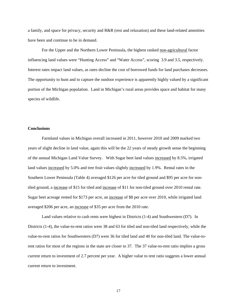a family, and space for privacy, security and R&R (rest and relaxation) and these land-related amenities have been and continue to be in demand.

For the Upper and the Northern Lower Peninsula, the highest ranked non-agricultural factor influencing land values were "Hunting Access" and "Water Access", scoring 3.9 and 3.5, respectively. Interest rates impact land values, as rates decline the cost of borrowed funds for land purchases decreases. The opportunity to hunt and to capture the outdoor experience is apparently highly valued by a significant portion of the Michigan population. Land in Michigan's rural areas provides space and habitat for many species of wildlife.

#### **Conclusions**

Farmland values in Michigan overall increased in 2011, however 2010 and 2009 marked two years of slight decline in land value, again this will be the 22 years of steady growth sense the beginning of the annual Michigan Land Value Survey. With Sugar beet land values increased by 8.5%, irrigated land values increased by 5.0% and tree fruit values slightly increased by 1.9%. Rental rates in the Southern Lower Peninsula (Table 4) averaged \$126 per acre for tiled ground and \$95 per acre for nontiled ground, a increase of \$15 for tiled and increase of \$11 for non-tiled ground over 2010 rental rate. Sugar beet acreage rented for \$173 per acre, an increase of \$8 per acre over 2010, while irrigated land averaged \$206 per acre, an increase of \$35 per acre from the 2010 rate.

Land values relative to cash rents were highest in Districts (1-4) and Southwestern (D7). In Districts (1-4), the value-to-rent ratios were 38 and 63 for tiled and non-tiled land respectively, while the value-to-rent ratios for Southwestern (D7) were 36 for tiled land and 40 for non-tiled land. The value-torent ratios for most of the regions in the state are closer to 37. The 37 value-to-rent ratio implies a gross current return to investment of 2.7 percent per year. A higher value to rent ratio suggests a lower annual current return to investment.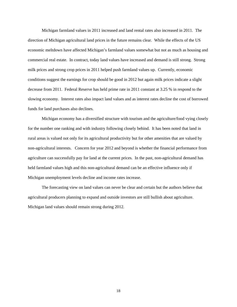Michigan farmland values in 2011 increased and land rental rates also increased in 2011. The direction of Michigan agricultural land prices in the future remains clear. While the effects of the US economic meltdown have affected Michigan's farmland values somewhat but not as much as housing and commercial real estate. In contract, today land values have increased and demand is still strong. Strong milk prices and strong crop prices in 2011 helped push farmland values up. Currently, economic conditions suggest the earnings for crop should be good in 2012 but again milk prices indicate a slight decrease from 2011. Federal Reserve has held prime rate in 2011 constant at 3.25 % in respond to the slowing economy. Interest rates also impact land values and as interest rates decline the cost of borrowed funds for land purchases also declines.

Michigan economy has a diversified structure with tourism and the agriculture/food vying closely for the number one ranking and with industry following closely behind. It has been noted that land in rural areas is valued not only for its agricultural productivity but for other amenities that are valued by non-agricultural interests. Concern for year 2012 and beyond is whether the financial performance from agriculture can successfully pay for land at the current prices. In the past, non-agricultural demand has held farmland values high and this non-agricultural demand can be an effective influence only if Michigan unemployment levels decline and income rates increase.

The forecasting view on land values can never be clear and certain but the authors believe that agricultural producers planning to expand and outside investors are still bullish about agriculture. Michigan land values should remain strong during 2012.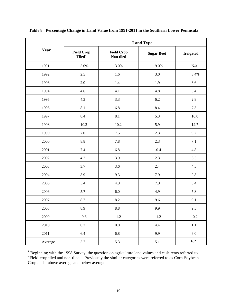|         | <b>Land Type</b>                        |                                |                   |                  |  |  |
|---------|-----------------------------------------|--------------------------------|-------------------|------------------|--|--|
| Year    | <b>Field Crop</b><br>Tiled <sup>1</sup> | <b>Field Crop</b><br>Non tiled | <b>Sugar Beet</b> | <b>Irrigated</b> |  |  |
| 1991    | 5.0%                                    | 3.0%                           | 9.0%              | N/a              |  |  |
| 1992    | $2.5\,$                                 | 1.6                            | $3.0\,$           | 3.4%             |  |  |
| 1993    | 2.0                                     | 1.4                            | 1.9               | 3.6              |  |  |
| 1994    | 4.6                                     | 4.1                            | 4.8               | 5.4              |  |  |
| 1995    | 4.3                                     | 3.3                            | 6.2               | $2.8\,$          |  |  |
| 1996    | 8.1                                     | 6.8                            | 8.4               | 7.3              |  |  |
| 1997    | 8.4                                     | $8.1\,$                        | 5.3               | $10.0\,$         |  |  |
| 1998    | 10.2                                    | 10.2                           | 5.9               | 12.7             |  |  |
| 1999    | 7.0                                     | $7.5$                          | 2.3               | 9.2              |  |  |
| 2000    | 8.8                                     | 7.8                            | 2.3               | 7.1              |  |  |
| 2001    | 7.4                                     | 6.8                            | $-0.4$            | 4.8              |  |  |
| 2002    | 4.2                                     | 3.9                            | 2.3               | 6.5              |  |  |
| 2003    | 3.7                                     | 3.6                            | 2.4               | 4.5              |  |  |
| 2004    | 8.9                                     | 9.3                            | 7.9               | 9.8              |  |  |
| 2005    | 5.4                                     | 4.9                            | 7.9               | 5.4              |  |  |
| 2006    | 5.7                                     | $6.0\,$                        | 4.9               | 5.8              |  |  |
| 2007    | 8.7                                     | 8.2                            | 9.6               | 9.1              |  |  |
| 2008    | 8.9                                     | $\ \, 8.8$                     | 9.9               | 9.5              |  |  |
| 2009    | $-0.6$                                  | $-1.2$                         | $-1.2$            | $-0.2$           |  |  |
| 2010    | $0.2\,$                                 | $0.0\,$                        | 4.4               | $1.1\,$          |  |  |
| 2011    | 6.4                                     | 6.8                            | 9.9               | $6.0\,$          |  |  |
| Average | 5.7                                     | 5.3                            | 5.1               | $6.2\,$          |  |  |

 **Table 8 Percentage Change in Land Value from 1991-2011 in the Southern Lower Peninsula** 

<sup>1</sup> Beginning with the 1998 Survey, the question on agriculture land values and cash rents referred to "Field-crop tiled and non-tiled." Previously the similar categories were referred to as Corn-Soybean-Cropland – above average and below average.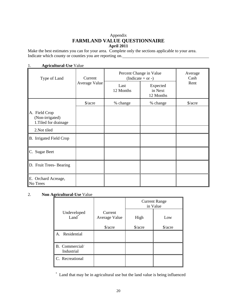# Appendix **FARMLAND VALUE QUESTIONNAIRE April 2011**

Make the best estimates you can for your area. Complete only the sections applicable to your area. Indicate which county or counties you are reporting on.

|                                                           | 1.<br>$\mathbf{A}$ gi icuitui ai-Use value |                                              |                                  |                      |  |  |  |  |
|-----------------------------------------------------------|--------------------------------------------|----------------------------------------------|----------------------------------|----------------------|--|--|--|--|
| Type of Land                                              | Current                                    | Percent Change in Value<br>(Indicate + or -) | Average<br>Cash                  |                      |  |  |  |  |
|                                                           | Average Value                              | Last<br>12 Months                            | Expected<br>in Next<br>12 Months | Rent                 |  |  |  |  |
|                                                           | $\frac{\sqrt{2}}{2}$                       | % change                                     | % change                         | $\frac{\sqrt{2}}{2}$ |  |  |  |  |
| A. Field Crop<br>(Non-irrigated)<br>1. Tiled for drainage |                                            |                                              |                                  |                      |  |  |  |  |
| 2.Not tiled                                               |                                            |                                              |                                  |                      |  |  |  |  |
| B. Irrigated Field Crop                                   |                                            |                                              |                                  |                      |  |  |  |  |
| C. Sugar Beet                                             |                                            |                                              |                                  |                      |  |  |  |  |
| D. Fruit Trees- Bearing                                   |                                            |                                              |                                  |                      |  |  |  |  |
| E. Orchard Acreage,<br>No Trees                           |                                            |                                              |                                  |                      |  |  |  |  |

# 1. **Agricultural-Use** Value

# 2. **Non Agricultural-Use** Value

|                              |                          | <b>Current Range</b><br>in Value |         |  |
|------------------------------|--------------------------|----------------------------------|---------|--|
| Undeveloped<br>Land          | Current<br>Average Value | High                             | Low     |  |
|                              | $\frac{\sqrt{2}}{2}$     | \$/acre                          | \$/acre |  |
| Residential<br>A.            |                          |                                  |         |  |
| B. Commercial/<br>Industrial |                          |                                  |         |  |
| C. Recreational              |                          |                                  |         |  |

\* Land that may be in agricultural use but the land value is being influenced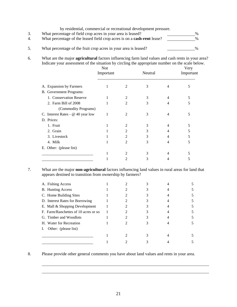by residential, commercial or recreational development pressure.

|    | What percentage of field crop acres in your area is leased?             | $\frac{0}{6}$ |
|----|-------------------------------------------------------------------------|---------------|
| 4. | What percentage of the leased field crop acres is on a cash-rent lease? | $\%$          |
|    |                                                                         |               |
| 5. | What percentage of the fruit crop acres in your area is leased?         | 0/            |

6. What are the major **agricultural** factors influencing farm land values and cash rents in your area? Indicate your assessment of the situation by circling the appropriate number on the scale below.

|                                   | <b>Not</b><br>Important |                | Neutral |   | Very<br>Important |
|-----------------------------------|-------------------------|----------------|---------|---|-------------------|
| A. Expansion by Farmers           | 1                       | 2              | 3       | 4 | 5                 |
| B. Government Programs:           |                         |                |         |   |                   |
| 1. Conservation Reserve           |                         | 2              | 3       | 4 | 5                 |
| 2. Farm Bill of 2008              |                         | $\mathfrak{D}$ | 3       | 4 | 5                 |
| (Commodity Programs)              |                         |                |         |   |                   |
| C. Interest Rates - @ 40 year low | 1                       | 2              | 3       | 4 | 5                 |
| D. Prices:                        |                         |                |         |   |                   |
| 1. Fruit                          |                         | 2              | 3       |   | 5                 |
| 2. Grain                          |                         | $\mathfrak{D}$ | 3       | 4 | 5                 |
| 3. Livestock                      |                         | $\mathfrak{D}$ | 3       | 4 | 5                 |
| 4. Milk                           |                         | 2              | 3       | 4 | 5                 |
| E. Other: (please list)           |                         |                |         |   |                   |
|                                   |                         | 2              | 3       |   |                   |
|                                   |                         | 2              | 3       |   | 5                 |

7. What are the major **non-agricultural** factors influencing land values in rural areas for land that appears destined to transition from ownership by farmers?

| A. Fishing Access                    |  |  |  |
|--------------------------------------|--|--|--|
| <b>B.</b> Hunting Access             |  |  |  |
| C. Home Building Sites               |  |  |  |
| D. Interest Rates for Borrowing      |  |  |  |
| E. Mall & Shopping Development       |  |  |  |
| F. Farm/Ranchettes of 10 acres or so |  |  |  |
| G. Timber and Woodlots               |  |  |  |
| H. Water for Recreation              |  |  |  |
| Other: (please list)                 |  |  |  |
|                                      |  |  |  |
|                                      |  |  |  |

8. Please provide other general comments you have about land values and rents in your area.